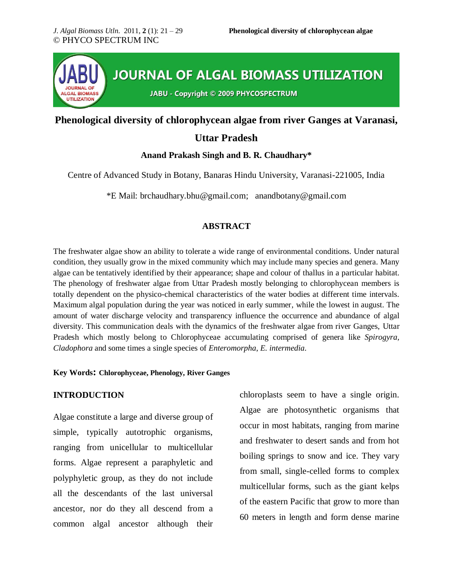

## **Phenological diversity of chlorophycean algae from river Ganges at Varanasi,**

## **Uttar Pradesh**

## **Anand Prakash Singh and B. R. Chaudhary\***

Centre of Advanced Study in Botany, Banaras Hindu University, Varanasi-221005, India

\*E Mail: [brchaudhary.bhu@gmail.com;](mailto:brchaudhary.bhu@gmail.com) anandbotany@gmail.com

## **ABSTRACT**

The freshwater algae show an ability to tolerate a wide range of environmental conditions. Under natural condition, they usually grow in the mixed community which may include many species and genera. Many algae can be tentatively identified by their appearance; shape and colour of thallus in a particular habitat. The phenology of freshwater algae from Uttar Pradesh mostly belonging to chlorophycean members is totally dependent on the physico-chemical characteristics of the water bodies at different time intervals. Maximum algal population during the year was noticed in early summer, while the lowest in august. The amount of water discharge velocity and transparency influence the occurrence and abundance of algal diversity. This communication deals with the dynamics of the freshwater algae from river Ganges, Uttar Pradesh which mostly belong to Chlorophyceae accumulating comprised of genera like *Spirogyra, Cladophora* and some times a single species of *Enteromorpha*, *E. intermedia*.

#### **Key Words: Chlorophyceae, Phenology, River Ganges**

## **INTRODUCTION**

Algae constitute a large and diverse group of simple, typically autotrophic organisms, ranging from unicellular to multicellular forms. Algae represent a paraphyletic and polyphyletic group, as they do not include all the descendants of the last universal ancestor, nor do they all descend from a common algal ancestor although their chloroplasts seem to have a single origin. Algae are photosynthetic organisms that occur in most habitats, ranging from marine and freshwater to desert sands and from hot boiling springs to snow and ice. They vary from small, single-celled forms to complex multicellular forms, such as the giant kelps of the eastern Pacific that grow to more than 60 meters in length and form dense marine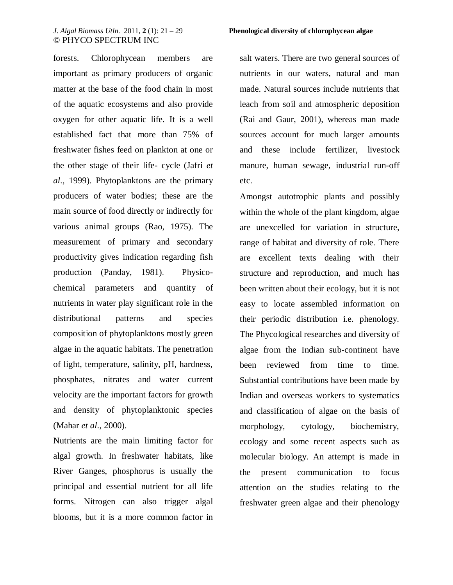forests. Chlorophycean members are important as primary producers of organic matter at the base of the food chain in most of the aquatic ecosystems and also provide oxygen for other aquatic life. It is a well established fact that more than 75% of freshwater fishes feed on plankton at one or the other stage of their life- cycle (Jafri *et al*., 1999). Phytoplanktons are the primary producers of water bodies; these are the main source of food directly or indirectly for various animal groups (Rao, 1975). The measurement of primary and secondary productivity gives indication regarding fish production (Panday, 1981). Physicochemical parameters and quantity of nutrients in water play significant role in the distributional patterns and species composition of phytoplanktons mostly green algae in the aquatic habitats. The penetration of light, temperature, salinity, pH, hardness, phosphates, nitrates and water current velocity are the important factors for growth and density of phytoplanktonic species (Mahar *et al*., 2000).

Nutrients are the main limiting factor for algal growth. In freshwater habitats, like River Ganges, phosphorus is usually the principal and essential nutrient for all life forms. Nitrogen can also trigger algal blooms, but it is a more common factor in

#### *J. Algal Biomass Utln*. 2011, **2** (1): 21 – 29 **Phenological diversity of chlorophycean algae**

salt waters. There are two general sources of nutrients in our waters, natural and man made. Natural sources include nutrients that leach from soil and atmospheric deposition (Rai and Gaur, 2001), whereas man made sources account for much larger amounts and these include fertilizer, livestock manure, human sewage, industrial run-off etc.

Amongst autotrophic plants and possibly within the whole of the plant kingdom, algae are unexcelled for variation in structure, range of habitat and diversity of role. There are excellent texts dealing with their structure and reproduction, and much has been written about their ecology, but it is not easy to locate assembled information on their periodic distribution i.e. phenology. The Phycological researches and diversity of algae from the Indian sub-continent have been reviewed from time to time. Substantial contributions have been made by Indian and overseas workers to systematics and classification of algae on the basis of morphology, cytology, biochemistry, ecology and some recent aspects such as molecular biology. An attempt is made in the present communication to focus attention on the studies relating to the freshwater green algae and their phenology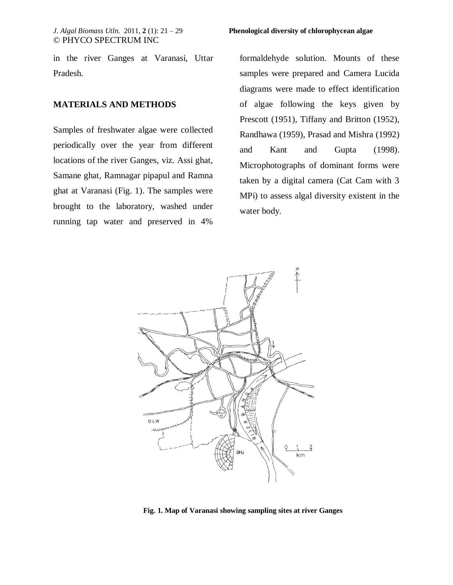in the river Ganges at Varanasi, Uttar Pradesh.

### **MATERIALS AND METHODS**

Samples of freshwater algae were collected periodically over the year from different locations of the river Ganges, viz. Assi ghat, Samane ghat, Ramnagar pipapul and Ramna ghat at Varanasi (Fig. 1). The samples were brought to the laboratory, washed under running tap water and preserved in 4%

formaldehyde solution. Mounts of these samples were prepared and Camera Lucida diagrams were made to effect identification of algae following the keys given by Prescott (1951), Tiffany and Britton (1952), Randhawa (1959), Prasad and Mishra (1992) and Kant and Gupta (1998). Microphotographs of dominant forms were taken by a digital camera (Cat Cam with 3 MPi) to assess algal diversity existent in the water body.



**Fig. 1. Map of Varanasi showing sampling sites at river Ganges**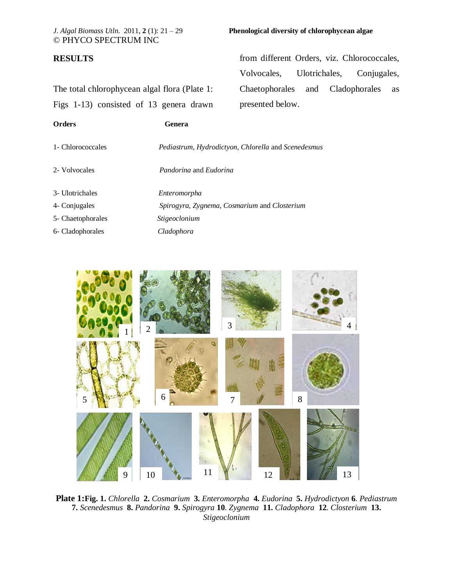## **RESULTS**

The total chlorophycean algal flora (Plate 1: Figs 1-13) consisted of 13 genera drawn

### *J. Algal Biomass Utln*. 2011, **2** (1): 21 – 29 **Phenological diversity of chlorophycean algae**

from different Orders, viz. Chlorococcales, Volvocales, Ulotrichales, Conjugales, Chaetophorales and Cladophorales as presented below.

| <b>Orders</b>     | Genera                                              |
|-------------------|-----------------------------------------------------|
| 1- Chlorococcales | Pediastrum, Hydrodictyon, Chlorella and Scenedesmus |
| 2- Volvocales     | <i>Pandorina</i> and <i>Eudorina</i>                |
| 3- Ulotrichales   | Enteromorpha                                        |
| 4- Conjugales     | Spirogyra, Zygnema, Cosmarium and Closterium        |
| 5- Chaetophorales | <i>Stigeoclonium</i>                                |
| 6- Cladophorales  | Cladophora                                          |



**Plate 1:Fig. 1.** *Chlorella* **2.** *Cosmarium* **3.** *Enteromorpha* **4.** *Eudorina* **5.** *Hydrodictyon* **6**. *Pediastrum*  **7.** *Scenedesmus* **8.** *Pandorina* **9.** *Spirogyra* **10**. *Zygnema* **11.** *Cladophora* **12**. *Closterium* **13.** *Stigeoclonium*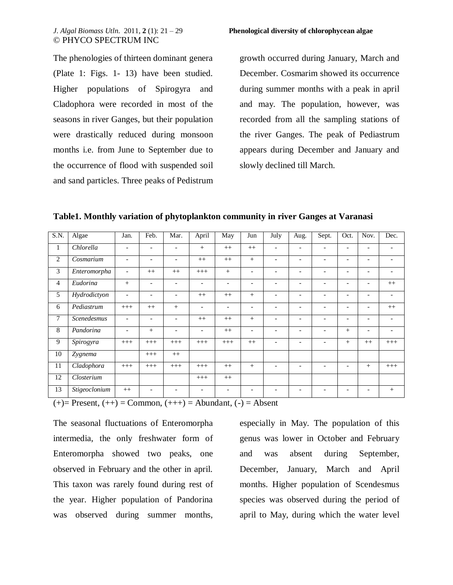The phenologies of thirteen dominant genera (Plate 1: Figs. 1- 13) have been studied. Higher populations of Spirogyra and Cladophora were recorded in most of the seasons in river Ganges, but their population were drastically reduced during monsoon months i.e. from June to September due to the occurrence of flood with suspended soil and sand particles. Three peaks of Pedistrum growth occurred during January, March and December. Cosmarim showed its occurrence during summer months with a peak in april and may. The population, however, was recorded from all the sampling stations of the river Ganges. The peak of Pediastrum appears during December and January and slowly declined till March.

**Table1. Monthly variation of phytoplankton community in river Ganges at Varanasi** 

| S.N. | Algae         | Jan.                     | Feb.                     | Mar.                     | April                    | May                      | Jun                      | July                     | Aug.                     | Sept.                    | Oct.                     | Nov.                     | Dec.                     |
|------|---------------|--------------------------|--------------------------|--------------------------|--------------------------|--------------------------|--------------------------|--------------------------|--------------------------|--------------------------|--------------------------|--------------------------|--------------------------|
| -1   | Chlorella     | $\overline{\phantom{a}}$ | $\overline{a}$           |                          | $+$                      | $++$                     | $^{++}$                  |                          | $\overline{\phantom{0}}$ |                          |                          |                          |                          |
| 2    | Cosmarium     | $\overline{\phantom{a}}$ | $\overline{a}$           |                          | $^{++}$                  | $++$                     | $+$                      | $\overline{\phantom{a}}$ | $\overline{\phantom{a}}$ | $\overline{\phantom{a}}$ | $\overline{\phantom{0}}$ | $\overline{\phantom{0}}$ | $\overline{\phantom{0}}$ |
| 3    | Enteromorpha  | $\overline{\phantom{a}}$ | $^{++}$                  | $++$                     | $^{+++}$                 | $+$                      | $\overline{\phantom{a}}$ | $\overline{\phantom{0}}$ | $\overline{\phantom{a}}$ | $\overline{\phantom{a}}$ | $\overline{\phantom{a}}$ | $\overline{\phantom{a}}$ | $\overline{\phantom{0}}$ |
| 4    | Eudorina      | $^{+}$                   | $\overline{\phantom{a}}$ | $\overline{\phantom{0}}$ | $\overline{\phantom{a}}$ | $\overline{\phantom{a}}$ | $\overline{\phantom{a}}$ | $\overline{\phantom{0}}$ | $\overline{\phantom{a}}$ | $\overline{\phantom{a}}$ | $\overline{\phantom{0}}$ | $\overline{\phantom{a}}$ | $++$                     |
| 5    | Hydrodictyon  | $\overline{a}$           | $\overline{a}$           |                          | $^{++}$                  | $^{++}$                  | $+$                      |                          | $\overline{a}$           |                          | $\overline{\phantom{0}}$ |                          |                          |
| 6    | Pediastrum    | $+++$                    | $++$                     | $+$                      | $\overline{\phantom{a}}$ | $\overline{\phantom{a}}$ | $\overline{\phantom{a}}$ | $\overline{\phantom{0}}$ | $\overline{\phantom{a}}$ | $\overline{\phantom{a}}$ | $\overline{\phantom{a}}$ | $\overline{\phantom{a}}$ | $++$                     |
| 7    | Scenedesmus   | $\overline{\phantom{a}}$ | $\overline{\phantom{a}}$ | $\overline{\phantom{0}}$ | $^{++}$                  | $^{++}$                  | $+$                      | $\overline{\phantom{0}}$ | -                        | $\overline{\phantom{a}}$ | $\overline{\phantom{0}}$ | $\overline{\phantom{0}}$ | $\overline{\phantom{0}}$ |
| 8    | Pandorina     | $\overline{\phantom{a}}$ | $+$                      | $\overline{\phantom{0}}$ | $\overline{\phantom{a}}$ | $^{++}$                  | $\overline{\phantom{0}}$ | $\overline{\phantom{0}}$ | $\overline{\phantom{0}}$ | $\overline{\phantom{0}}$ | $^{+}$                   | $\overline{\phantom{0}}$ |                          |
| 9    | Spirogyra     | $^{+++}$                 | $^{+++}$                 | $^{+++}$                 | $^{+++}$                 | $+++$                    | $++$                     |                          | $\overline{\phantom{a}}$ |                          | $+$                      | $^{++}$                  | $^{+++}$                 |
| 10   | Zygnema       |                          | $^{+++}$                 | $^{++}$                  |                          |                          |                          |                          |                          |                          |                          |                          |                          |
| 11   | Cladophora    | $^{+++}$                 | $+++$                    | $^{+++}$                 | $^{+++}$                 | $^{++}$                  | $+$                      | $\overline{\phantom{0}}$ | $\overline{\phantom{a}}$ | $\overline{\phantom{a}}$ | $\overline{\phantom{0}}$ | $+$                      | $^{+++}$                 |
| 12   | Closterium    |                          |                          |                          | $^{+++}$                 | $^{++}$                  |                          |                          |                          |                          |                          |                          |                          |
| 13   | Stigeoclonium | $^{++}$                  |                          |                          |                          |                          |                          |                          |                          |                          |                          |                          | $^{+}$                   |

(+)= Present, (++) = Common, (+++) = Abundant, (-) = Absent

The seasonal fluctuations of Enteromorpha intermedia, the only freshwater form of Enteromorpha showed two peaks, one observed in February and the other in april. This taxon was rarely found during rest of the year. Higher population of Pandorina was observed during summer months,

especially in May. The population of this genus was lower in October and February and was absent during September, December, January, March and April months. Higher population of Scendesmus species was observed during the period of april to May, during which the water level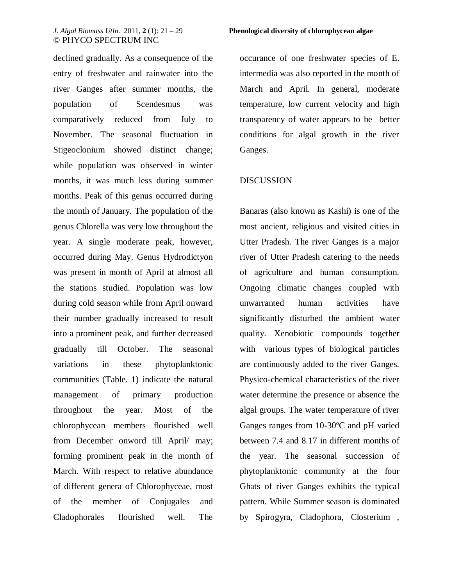declined gradually. As a consequence of the entry of freshwater and rainwater into the river Ganges after summer months, the population of Scendesmus was comparatively reduced from July to November. The seasonal fluctuation in Stigeoclonium showed distinct change; while population was observed in winter months, it was much less during summer months. Peak of this genus occurred during the month of January. The population of the genus Chlorella was very low throughout the year. A single moderate peak, however, occurred during May. Genus Hydrodictyon was present in month of April at almost all the stations studied. Population was low during cold season while from April onward their number gradually increased to result into a prominent peak, and further decreased gradually till October. The seasonal variations in these phytoplanktonic communities (Table. 1) indicate the natural management of primary production throughout the year. Most of the chlorophycean members flourished well from December onword till April/ may; forming prominent peak in the month of March. With respect to relative abundance of different genera of Chlorophyceae, most of the member of Conjugales and Cladophorales flourished well. The

occurance of one freshwater species of E. intermedia was also reported in the month of March and April. In general, moderate temperature, low current velocity and high transparency of water appears to be better conditions for algal growth in the river Ganges.

## DISCUSSION

Banaras (also known as Kashi) is one of the most ancient, religious and visited cities in Utter Pradesh. The river Ganges is a major river of Utter Pradesh catering to the needs of agriculture and human consumption. Ongoing climatic changes coupled with unwarranted human activities have significantly disturbed the ambient water quality. Xenobiotic compounds together with various types of biological particles are continuously added to the river Ganges. Physico-chemical characteristics of the river water determine the presence or absence the algal groups. The water temperature of river Ganges ranges from 10-30ºC and pH varied between 7.4 and 8.17 in different months of the year. The seasonal succession of phytoplanktonic community at the four Ghats of river Ganges exhibits the typical pattern. While Summer season is dominated by Spirogyra, Cladophora, Closterium ,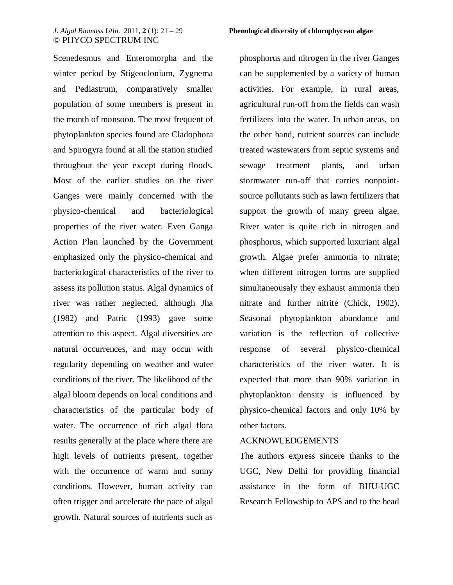Scenedesmus and Enteromorpha and the winter period by Stigeoclonium, Zygnema and Pediastrum, comparatively smaller population of some members is present in the month of monsoon. The most frequent of phytoplankton species found are Cladophora and Spirogyra found at all the station studied throughout the year except during floods. Most of the earlier studies on the river Ganges were mainly concerned with the physico-chemical and bacteriological properties of the river water. Even Ganga Action Plan launched by the Government emphasized only the physico-chemical and bacteriological characteristics of the river to assess its pollution status. Algal dynamics of river was rather neglected, although Jha (1982) and Patric (1993) gave some attention to this aspect. Algal diversities are natural occurrences, and may occur with regularity depending on weather and water conditions of the river. The likelihood of the algal bloom depends on local conditions and characteristics of the particular body of water. The occurrence of rich algal flora results generally at the place where there are high levels of nutrients present, together with the occurrence of warm and sunny conditions. However, human activity can often trigger and accelerate the pace of algal growth. Natural sources of nutrients such as

#### *J. Algal Biomass Utln*. 2011, **2** (1): 21 – 29 **Phenological diversity of chlorophycean algae**

phosphorus and nitrogen in the river Ganges can be supplemented by a variety of human activities. For example, in rural areas, agricultural run-off from the fields can wash fertilizers into the water. In urban areas, on the other hand, nutrient sources can include treated wastewaters from septic systems and sewage treatment plants, and urban stormwater run-off that carries nonpointsource pollutants such as lawn fertilizers that support the growth of many green algae. River water is quite rich in nitrogen and phosphorus, which supported luxuriant algal growth. Algae prefer ammonia to nitrate; when different nitrogen forms are supplied simultaneousaly they exhaust ammonia then nitrate and further nitrite (Chick, 1902). Seasonal phytoplankton abundance and variation is the reflection of collective response of several physico-chemical characteristics of the river water. It is expected that more than 90% variation in phytoplankton density is influenced by physico-chemical factors and only 10% by other factors.

## ACKNOWLEDGEMENTS

The authors express sincere thanks to the UGC, New Delhi for providing financial assistance in the form of BHU-UGC Research Fellowship to APS and to the head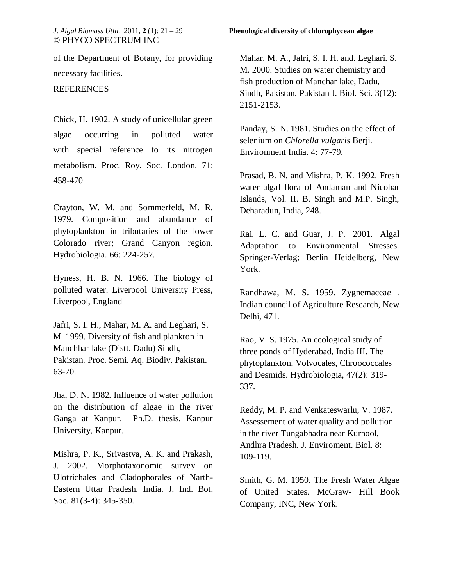of the Department of Botany, for providing necessary facilities.

### REFERENCES

Chick, H. 1902. A study of unicellular green algae occurring in polluted water with special reference to its nitrogen metabolism. Proc. Roy. Soc. London. 71: 458-470.

Crayton, W. M. and Sommerfeld, M. R. 1979. Composition and abundance of phytoplankton in tributaries of the lower Colorado river; Grand Canyon region*.*  Hydrobiologia. 66: 224-257.

Hyness, H. B. N. 1966. The biology of polluted water. Liverpool University Press, Liverpool, England

Jafri, S. I. H., Mahar, M. A. and Leghari, S. M. 1999. Diversity of fish and plankton in Manchhar lake (Distt. Dadu) Sindh, Pakistan. Proc. Semi. Aq. Biodiv. Pakistan. 63-70.

Jha, D. N. 1982*.* Influence of water pollution on the distribution of algae in the river Ganga at Kanpur*.* Ph.D. thesis. Kanpur University, Kanpur.

Mishra, P. K., Srivastva, A. K. and Prakash, J. 2002. Morphotaxonomic survey on Ulotrichales and Cladophorales of Narth-Eastern Uttar Pradesh, India. J. Ind. Bot. Soc. 81(3-4): 345-350.

Mahar, M. A., Jafri, S. I. H. and. Leghari. S. M. 2000. Studies on water chemistry and fish production of Manchar lake, Dadu, Sindh, Pakistan. Pakistan J. Biol. Sci. 3(12): 2151-2153.

Panday, S. N. 1981. Studies on the effect of selenium on *Chlorella vulgaris* Berji. Environment India. 4: 77-79.

Prasad, B. N. and Mishra, P. K. 1992. Fresh water algal flora of Andaman and Nicobar Islands, Vol. II. B. Singh and M.P. Singh, Deharadun, India, 248.

Rai, L. C. and Guar, J. P. 2001. Algal Adaptation to Environmental Stresses. Springer-Verlag; Berlin Heidelberg, New York.

Randhawa, M. S. 1959. Zygnemacea*e* . Indian council of Agriculture Research, New Delhi, 471.

Rao, V. S. 1975. An ecological study of three ponds of Hyderabad, India III. The phytoplankton, Volvocales, Chroococcales and Desmids. Hydrobiologia, 47(2): 319- 337.

Reddy, M. P. and Venkateswarlu, V. 1987. Assessement of water quality and pollution in the river Tungabhadra near Kurnool, Andhra Pradesh. J. Enviroment. Biol. 8: 109-119.

Smith, G. M. 1950. The Fresh Water Algae of United States. McGraw- Hill Book Company, INC, New York.